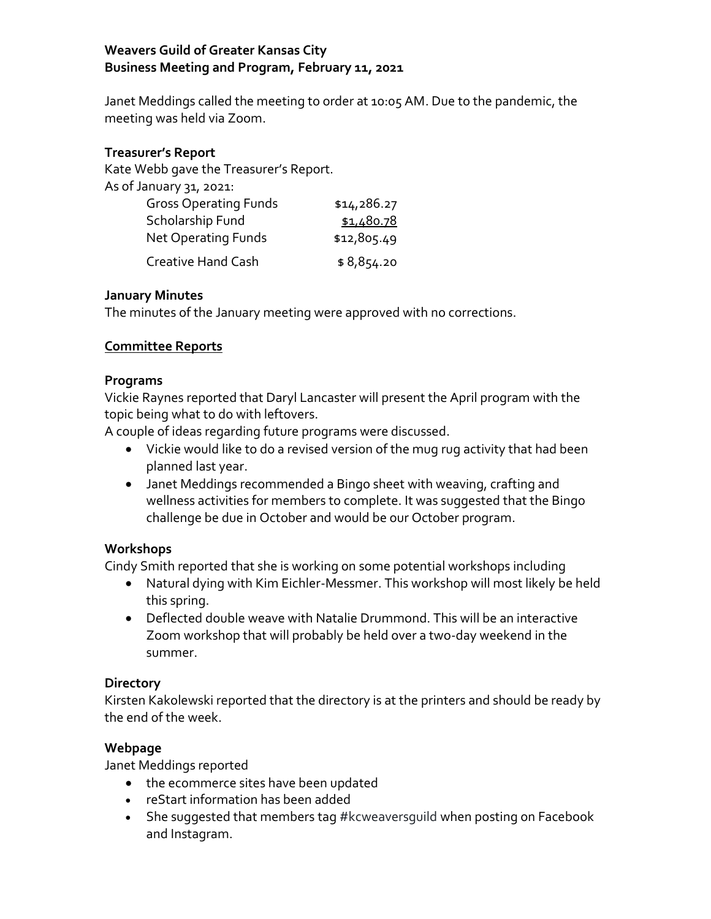## **Weavers Guild of Greater Kansas City Business Meeting and Program, February 11, 2021**

Janet Meddings called the meeting to order at 10:05 AM. Due to the pandemic, the meeting was held via Zoom.

### **Treasurer's Report**

Kate Webb gave the Treasurer's Report.

|  |  |  |  |  | As of January 31, 2021: |
|--|--|--|--|--|-------------------------|
|--|--|--|--|--|-------------------------|

| <b>Gross Operating Funds</b> | \$14,286.27 |
|------------------------------|-------------|
| Scholarship Fund             | \$1,480.78  |
| <b>Net Operating Funds</b>   | \$12,805.49 |
| <b>Creative Hand Cash</b>    | \$8,854.20  |

### **January Minutes**

The minutes of the January meeting were approved with no corrections.

### **Committee Reports**

### **Programs**

Vickie Raynes reported that Daryl Lancaster will present the April program with the topic being what to do with leftovers.

A couple of ideas regarding future programs were discussed.

- Vickie would like to do a revised version of the mug rug activity that had been planned last year.
- Janet Meddings recommended a Bingo sheet with weaving, crafting and wellness activities for members to complete. It was suggested that the Bingo challenge be due in October and would be our October program.

# **Workshops**

Cindy Smith reported that she is working on some potential workshops including

- Natural dying with Kim Eichler-Messmer. This workshop will most likely be held this spring.
- Deflected double weave with Natalie Drummond. This will be an interactive Zoom workshop that will probably be held over a two-day weekend in the summer.

### **Directory**

Kirsten Kakolewski reported that the directory is at the printers and should be ready by the end of the week.

# **Webpage**

Janet Meddings reported

- the ecommerce sites have been updated
- reStart information has been added
- She suggested that members tag #kcweaversguild when posting on Facebook and Instagram.